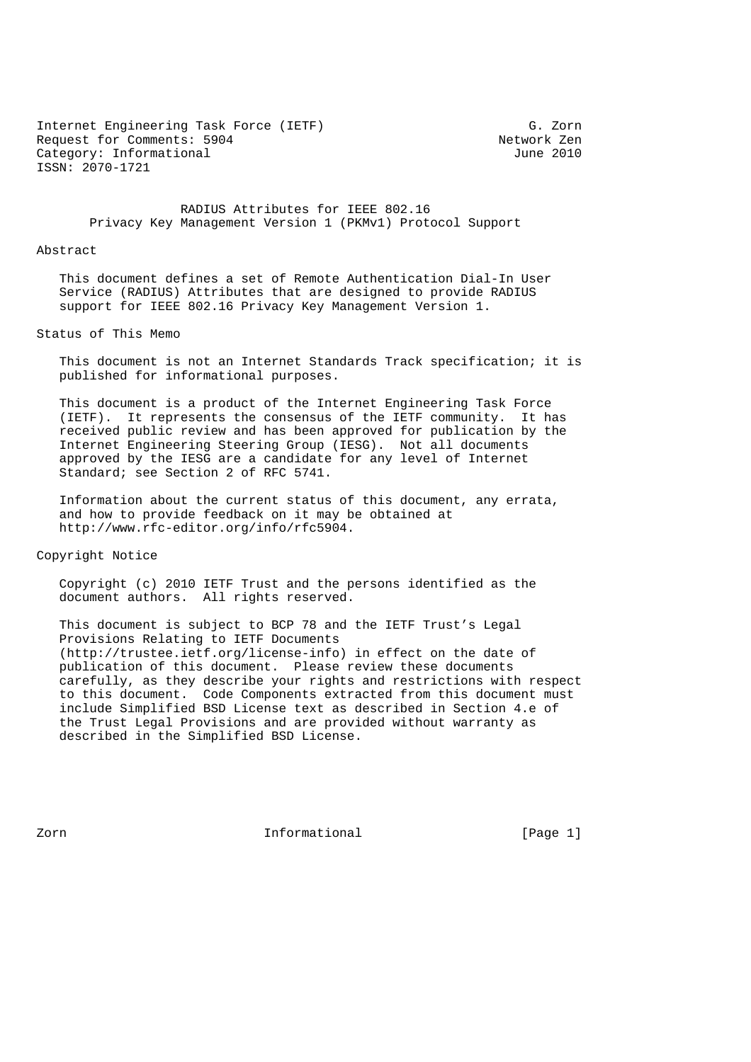Internet Engineering Task Force (IETF) G. Zorn Request for Comments: 5904<br>
Category: Informational and Category: Informational Category: Informational ISSN: 2070-1721

 RADIUS Attributes for IEEE 802.16 Privacy Key Management Version 1 (PKMv1) Protocol Support

#### Abstract

 This document defines a set of Remote Authentication Dial-In User Service (RADIUS) Attributes that are designed to provide RADIUS support for IEEE 802.16 Privacy Key Management Version 1.

### Status of This Memo

 This document is not an Internet Standards Track specification; it is published for informational purposes.

 This document is a product of the Internet Engineering Task Force (IETF). It represents the consensus of the IETF community. It has received public review and has been approved for publication by the Internet Engineering Steering Group (IESG). Not all documents approved by the IESG are a candidate for any level of Internet Standard; see Section 2 of RFC 5741.

 Information about the current status of this document, any errata, and how to provide feedback on it may be obtained at http://www.rfc-editor.org/info/rfc5904.

Copyright Notice

 Copyright (c) 2010 IETF Trust and the persons identified as the document authors. All rights reserved.

 This document is subject to BCP 78 and the IETF Trust's Legal Provisions Relating to IETF Documents (http://trustee.ietf.org/license-info) in effect on the date of publication of this document. Please review these documents carefully, as they describe your rights and restrictions with respect to this document. Code Components extracted from this document must include Simplified BSD License text as described in Section 4.e of the Trust Legal Provisions and are provided without warranty as described in the Simplified BSD License.

Zorn **Informational** Informational [Page 1]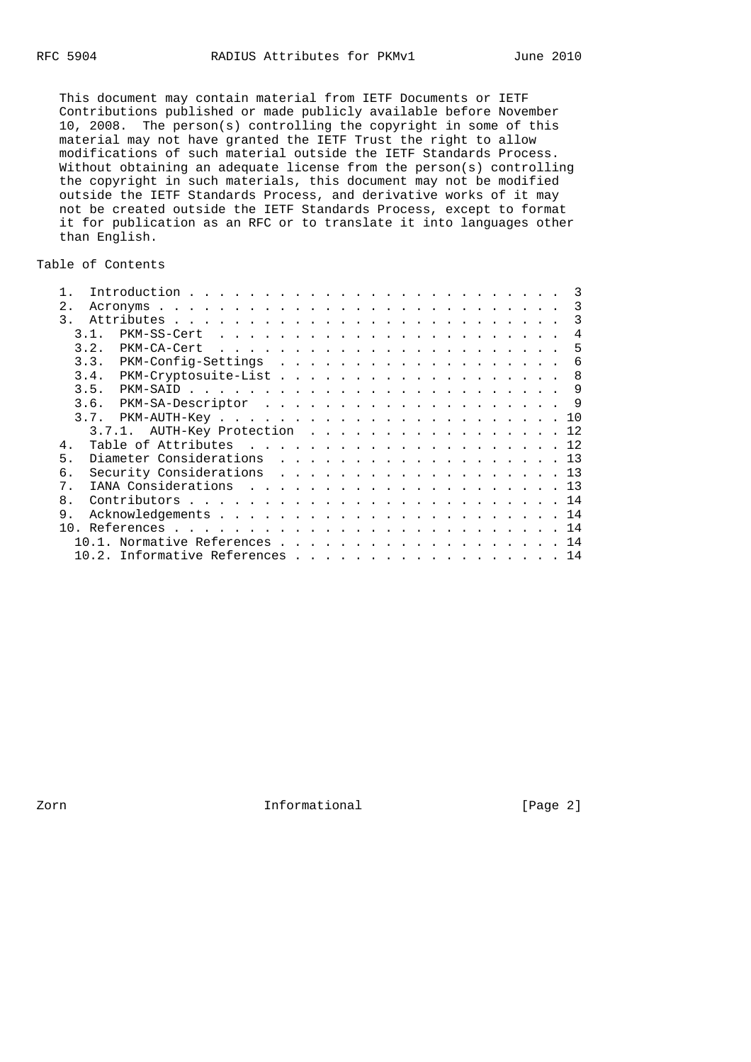This document may contain material from IETF Documents or IETF Contributions published or made publicly available before November 10, 2008. The person(s) controlling the copyright in some of this material may not have granted the IETF Trust the right to allow modifications of such material outside the IETF Standards Process. Without obtaining an adequate license from the person(s) controlling the copyright in such materials, this document may not be modified outside the IETF Standards Process, and derivative works of it may not be created outside the IETF Standards Process, except to format it for publication as an RFC or to translate it into languages other than English.

# Table of Contents

| 2.            |                                   |  |  |  |  |  |  |  |  |  |  |  |     |
|---------------|-----------------------------------|--|--|--|--|--|--|--|--|--|--|--|-----|
| $\mathcal{R}$ |                                   |  |  |  |  |  |  |  |  |  |  |  | -3  |
| 31            |                                   |  |  |  |  |  |  |  |  |  |  |  | 4   |
| 3.2.          |                                   |  |  |  |  |  |  |  |  |  |  |  | - 5 |
| 3.3.          |                                   |  |  |  |  |  |  |  |  |  |  |  | -6  |
| 3.4.          |                                   |  |  |  |  |  |  |  |  |  |  |  | - 8 |
| 3.5.          |                                   |  |  |  |  |  |  |  |  |  |  |  | -9  |
| 3.6.          | PKM-SA-Descriptor 9               |  |  |  |  |  |  |  |  |  |  |  |     |
| 3.7.          |                                   |  |  |  |  |  |  |  |  |  |  |  |     |
|               | $3.7.1.$ AUTH-Key Protection 12   |  |  |  |  |  |  |  |  |  |  |  |     |
| 4.            |                                   |  |  |  |  |  |  |  |  |  |  |  |     |
| 5.            | Diameter Considerations 13        |  |  |  |  |  |  |  |  |  |  |  |     |
| б.            | Security Considerations 13        |  |  |  |  |  |  |  |  |  |  |  |     |
| $7$ .         |                                   |  |  |  |  |  |  |  |  |  |  |  |     |
| 8.            |                                   |  |  |  |  |  |  |  |  |  |  |  |     |
| 9.            |                                   |  |  |  |  |  |  |  |  |  |  |  |     |
|               |                                   |  |  |  |  |  |  |  |  |  |  |  |     |
|               | $10.1.$ Normative References 14   |  |  |  |  |  |  |  |  |  |  |  |     |
|               | $10.2.$ Informative References 14 |  |  |  |  |  |  |  |  |  |  |  |     |
|               |                                   |  |  |  |  |  |  |  |  |  |  |  |     |

Zorn Informational [Page 2]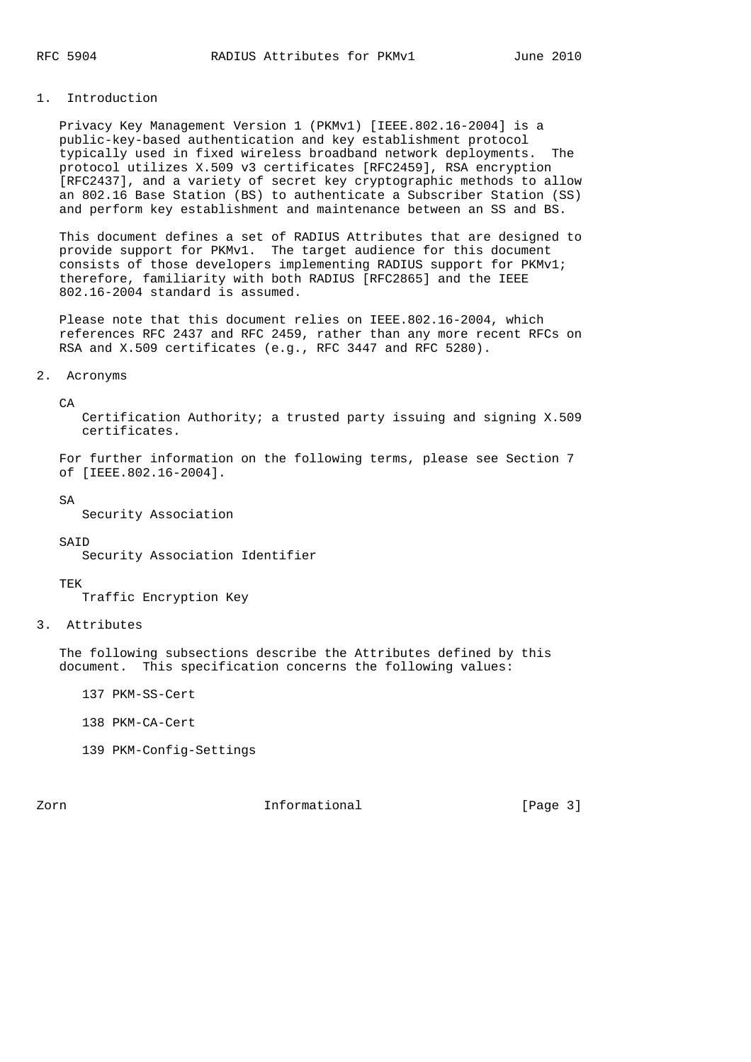### 1. Introduction

 Privacy Key Management Version 1 (PKMv1) [IEEE.802.16-2004] is a public-key-based authentication and key establishment protocol typically used in fixed wireless broadband network deployments. The protocol utilizes X.509 v3 certificates [RFC2459], RSA encryption [RFC2437], and a variety of secret key cryptographic methods to allow an 802.16 Base Station (BS) to authenticate a Subscriber Station (SS) and perform key establishment and maintenance between an SS and BS.

 This document defines a set of RADIUS Attributes that are designed to provide support for PKMv1. The target audience for this document consists of those developers implementing RADIUS support for PKMv1; therefore, familiarity with both RADIUS [RFC2865] and the IEEE 802.16-2004 standard is assumed.

 Please note that this document relies on IEEE.802.16-2004, which references RFC 2437 and RFC 2459, rather than any more recent RFCs on RSA and X.509 certificates (e.g., RFC 3447 and RFC 5280).

## 2. Acronyms

 $C_A$ 

 Certification Authority; a trusted party issuing and signing X.509 certificates.

 For further information on the following terms, please see Section 7 of [IEEE.802.16-2004].

SA

Security Association

#### **SAID**

Security Association Identifier

#### TEK

Traffic Encryption Key

3. Attributes

 The following subsections describe the Attributes defined by this document. This specification concerns the following values:

137 PKM-SS-Cert

- 138 PKM-CA-Cert
- 139 PKM-Config-Settings

Zorn **Informational Informational** [Page 3]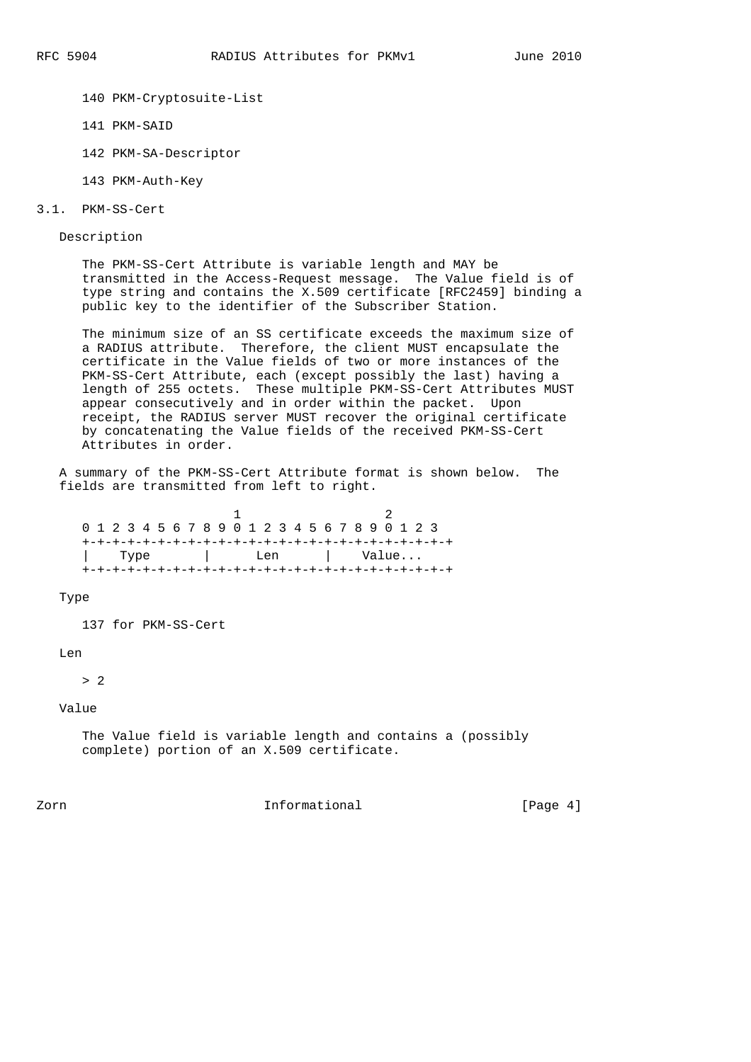- 140 PKM-Cryptosuite-List
- 141 PKM-SAID
- 142 PKM-SA-Descriptor
- 143 PKM-Auth-Key
- 3.1. PKM-SS-Cert

Description

 The PKM-SS-Cert Attribute is variable length and MAY be transmitted in the Access-Request message. The Value field is of type string and contains the X.509 certificate [RFC2459] binding a public key to the identifier of the Subscriber Station.

 The minimum size of an SS certificate exceeds the maximum size of a RADIUS attribute. Therefore, the client MUST encapsulate the certificate in the Value fields of two or more instances of the PKM-SS-Cert Attribute, each (except possibly the last) having a length of 255 octets. These multiple PKM-SS-Cert Attributes MUST appear consecutively and in order within the packet. Upon receipt, the RADIUS server MUST recover the original certificate by concatenating the Value fields of the received PKM-SS-Cert Attributes in order.

 A summary of the PKM-SS-Cert Attribute format is shown below. The fields are transmitted from left to right.

 1 2 0 1 2 3 4 5 6 7 8 9 0 1 2 3 4 5 6 7 8 9 0 1 2 3 +-+-+-+-+-+-+-+-+-+-+-+-+-+-+-+-+-+-+-+-+-+-+-+-+ | Type | Len | Value... +-+-+-+-+-+-+-+-+-+-+-+-+-+-+-+-+-+-+-+-+-+-+-+-+

Type

137 for PKM-SS-Cert

 $Len$ 

> 2

Value

 The Value field is variable length and contains a (possibly complete) portion of an X.509 certificate.

Zorn **Informational Informational** [Page 4]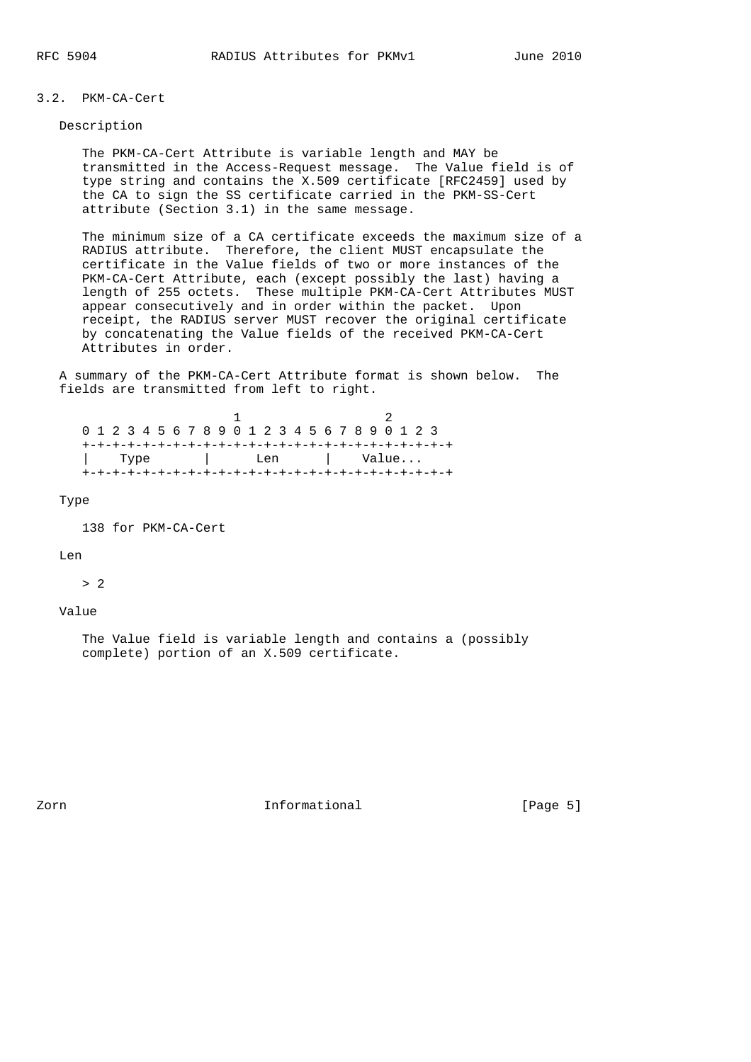# 3.2. PKM-CA-Cert

# Description

 The PKM-CA-Cert Attribute is variable length and MAY be transmitted in the Access-Request message. The Value field is of type string and contains the X.509 certificate [RFC2459] used by the CA to sign the SS certificate carried in the PKM-SS-Cert attribute (Section 3.1) in the same message.

 The minimum size of a CA certificate exceeds the maximum size of a RADIUS attribute. Therefore, the client MUST encapsulate the certificate in the Value fields of two or more instances of the PKM-CA-Cert Attribute, each (except possibly the last) having a length of 255 octets. These multiple PKM-CA-Cert Attributes MUST appear consecutively and in order within the packet. Upon receipt, the RADIUS server MUST recover the original certificate by concatenating the Value fields of the received PKM-CA-Cert Attributes in order.

 A summary of the PKM-CA-Cert Attribute format is shown below. The fields are transmitted from left to right.

|  |  | 0 1 2 3 4 5 6 7 8 9 0 1 2 3 4 5 6 7 8 9 0 1 2 3 |  |  |  |  |  |  |  |  |  |  |
|--|--|-------------------------------------------------|--|--|--|--|--|--|--|--|--|--|
|  |  |                                                 |  |  |  |  |  |  |  |  |  |  |
|  |  | Type I Len Value                                |  |  |  |  |  |  |  |  |  |  |
|  |  |                                                 |  |  |  |  |  |  |  |  |  |  |

## Type

138 for PKM-CA-Cert

## Len

> 2

# Value

 The Value field is variable length and contains a (possibly complete) portion of an X.509 certificate.

Zorn **Informational Informational** [Page 5]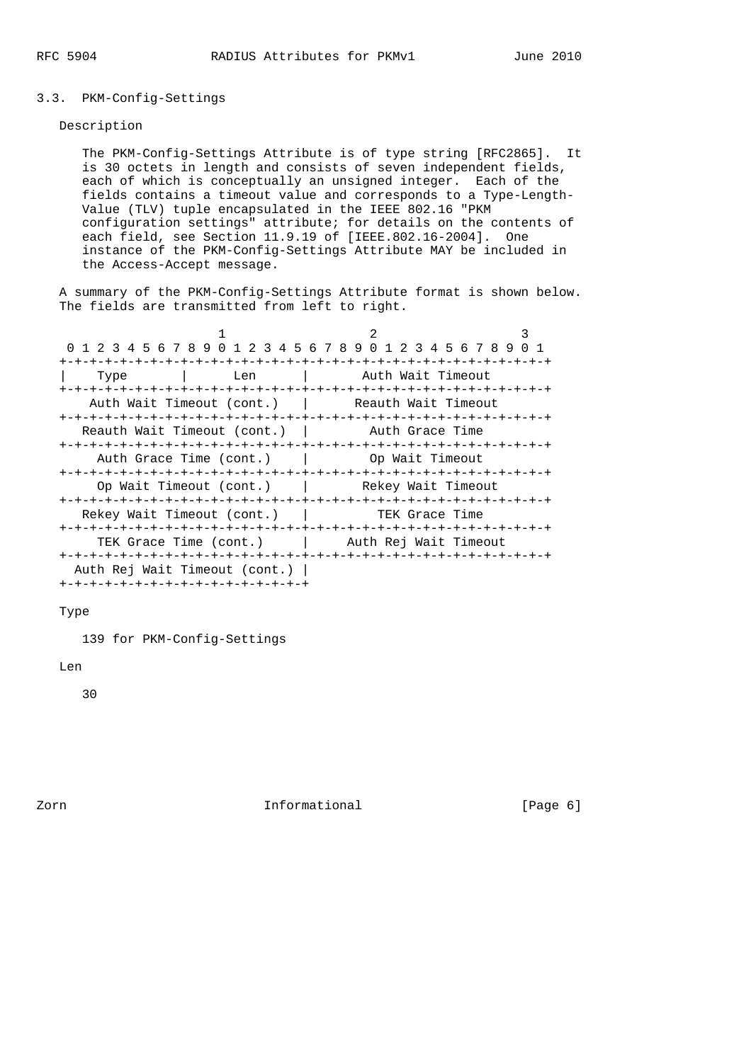# 3.3. PKM-Config-Settings

# Description

 The PKM-Config-Settings Attribute is of type string [RFC2865]. It is 30 octets in length and consists of seven independent fields, each of which is conceptually an unsigned integer. Each of the fields contains a timeout value and corresponds to a Type-Length- Value (TLV) tuple encapsulated in the IEEE 802.16 "PKM configuration settings" attribute; for details on the contents of each field, see Section 11.9.19 of [IEEE.802.16-2004]. One instance of the PKM-Config-Settings Attribute MAY be included in the Access-Accept message.

 A summary of the PKM-Config-Settings Attribute format is shown below. The fields are transmitted from left to right.

|                                     | 0 1 2 3 4 5 6 7 8 9 0 1 2 3 4 5 6 7 8 9 0 1 2 3 4 5 6 7 8 9 0 1 |  |
|-------------------------------------|-----------------------------------------------------------------|--|
|                                     |                                                                 |  |
| Type                                | Len   Auth Wait Timeout                                         |  |
|                                     |                                                                 |  |
| Auth Wait Timeout (cont.)           |                                                                 |  |
|                                     |                                                                 |  |
| Reauth Wait Timeout (cont.)         | Auth Grace Time                                                 |  |
|                                     |                                                                 |  |
| Auth Grace Time (cont.)             | <b>1</b> Op Wait Timeout                                        |  |
|                                     |                                                                 |  |
|                                     | Op Wait Timeout (cont.)   Rekey Wait Timeout                    |  |
|                                     |                                                                 |  |
| Rekey Wait Timeout (cont.)          | TEK Grace Time                                                  |  |
|                                     |                                                                 |  |
|                                     | TEK Grace Time (cont.) TEK Guth Rej Wait Timeout                |  |
|                                     |                                                                 |  |
| Auth Rej Wait Timeout (cont.)       |                                                                 |  |
| +-+-+-+-+-+-+-+-+-+-+-+-+-+-+-+-+-+ |                                                                 |  |

#### Type

139 for PKM-Config-Settings

# Len

30

Zorn **Informational** Informational [Page 6]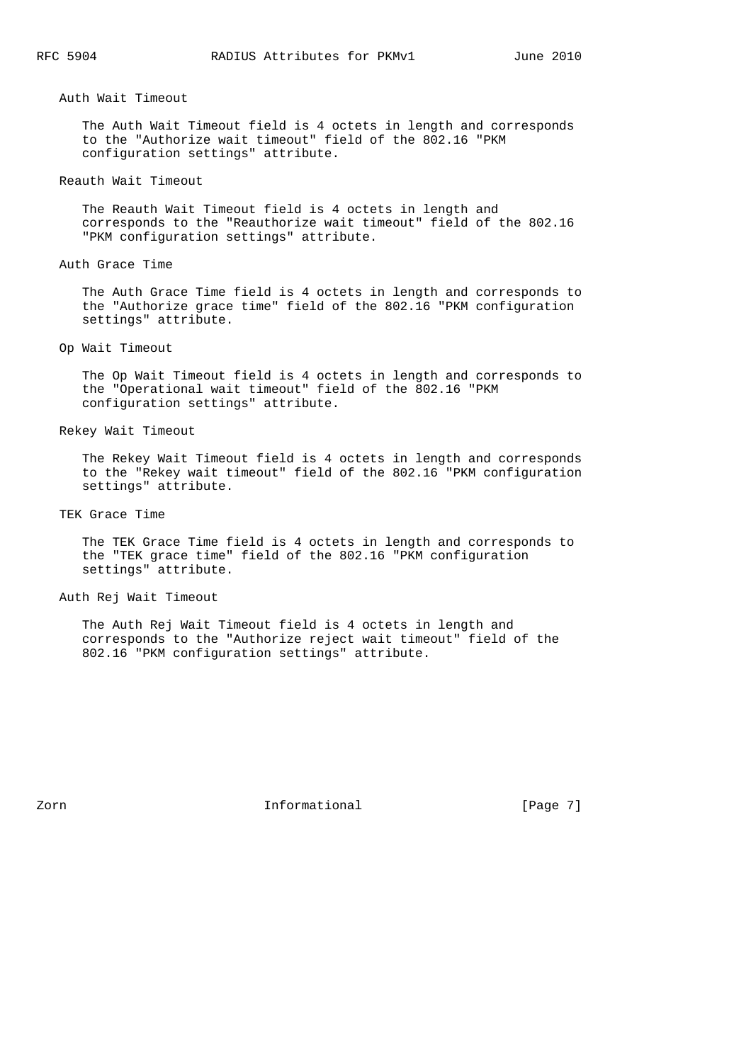Auth Wait Timeout

 The Auth Wait Timeout field is 4 octets in length and corresponds to the "Authorize wait timeout" field of the 802.16 "PKM configuration settings" attribute.

## Reauth Wait Timeout

 The Reauth Wait Timeout field is 4 octets in length and corresponds to the "Reauthorize wait timeout" field of the 802.16 "PKM configuration settings" attribute.

## Auth Grace Time

 The Auth Grace Time field is 4 octets in length and corresponds to the "Authorize grace time" field of the 802.16 "PKM configuration settings" attribute.

Op Wait Timeout

 The Op Wait Timeout field is 4 octets in length and corresponds to the "Operational wait timeout" field of the 802.16 "PKM configuration settings" attribute.

#### Rekey Wait Timeout

 The Rekey Wait Timeout field is 4 octets in length and corresponds to the "Rekey wait timeout" field of the 802.16 "PKM configuration settings" attribute.

TEK Grace Time

 The TEK Grace Time field is 4 octets in length and corresponds to the "TEK grace time" field of the 802.16 "PKM configuration settings" attribute.

Auth Rej Wait Timeout

 The Auth Rej Wait Timeout field is 4 octets in length and corresponds to the "Authorize reject wait timeout" field of the 802.16 "PKM configuration settings" attribute.

Zorn **Informational Informational** [Page 7]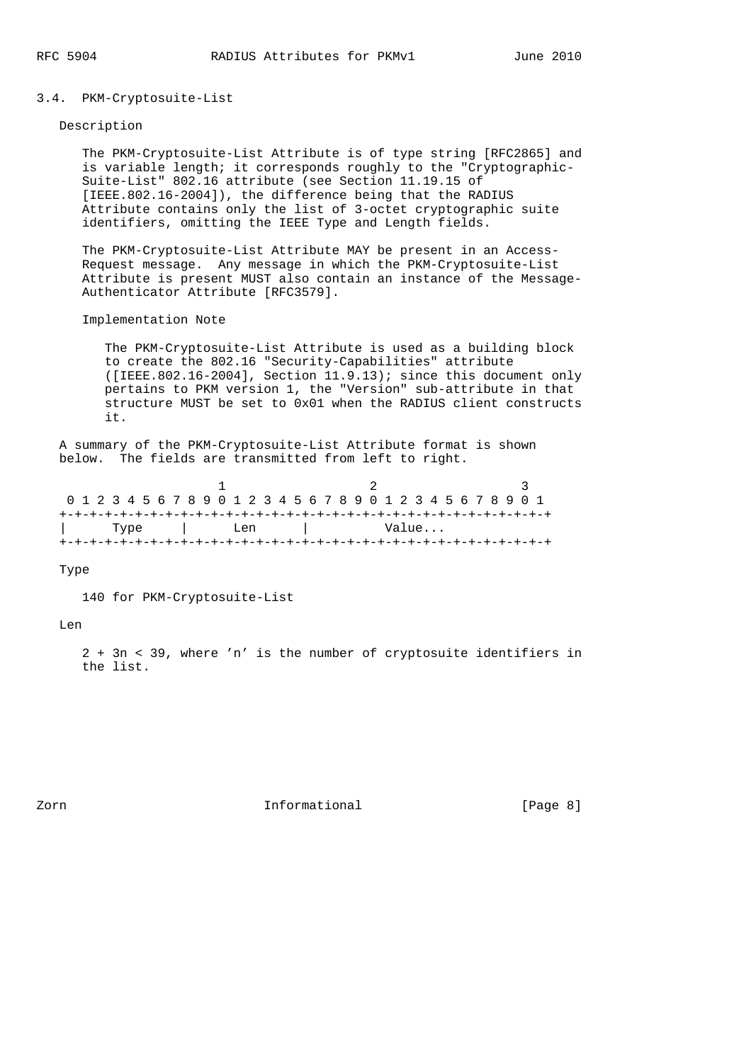# 3.4. PKM-Cryptosuite-List

## Description

 The PKM-Cryptosuite-List Attribute is of type string [RFC2865] and is variable length; it corresponds roughly to the "Cryptographic- Suite-List" 802.16 attribute (see Section 11.19.15 of [IEEE.802.16-2004]), the difference being that the RADIUS Attribute contains only the list of 3-octet cryptographic suite identifiers, omitting the IEEE Type and Length fields.

 The PKM-Cryptosuite-List Attribute MAY be present in an Access- Request message. Any message in which the PKM-Cryptosuite-List Attribute is present MUST also contain an instance of the Message- Authenticator Attribute [RFC3579].

Implementation Note

 The PKM-Cryptosuite-List Attribute is used as a building block to create the 802.16 "Security-Capabilities" attribute ([IEEE.802.16-2004], Section  $11.9.13$ ); since this document only pertains to PKM version 1, the "Version" sub-attribute in that structure MUST be set to 0x01 when the RADIUS client constructs it.

 A summary of the PKM-Cryptosuite-List Attribute format is shown below. The fields are transmitted from left to right.

|  |  |  |  |  |  | 0 1 2 3 4 5 6 7 8 9 0 1 2 3 4 5 6 7 8 9 0 1 2 3 4 5 6 7 8 9 0 1 |  |  |  |  |       |  |  |  |  |  |
|--|--|--|--|--|--|-----------------------------------------------------------------|--|--|--|--|-------|--|--|--|--|--|
|  |  |  |  |  |  |                                                                 |  |  |  |  |       |  |  |  |  |  |
|  |  |  |  |  |  | Type I Len                                                      |  |  |  |  | Value |  |  |  |  |  |
|  |  |  |  |  |  |                                                                 |  |  |  |  |       |  |  |  |  |  |

Type

140 for PKM-Cryptosuite-List

Len

 2 + 3n < 39, where 'n' is the number of cryptosuite identifiers in the list.

Zorn **Informational Informational** [Page 8]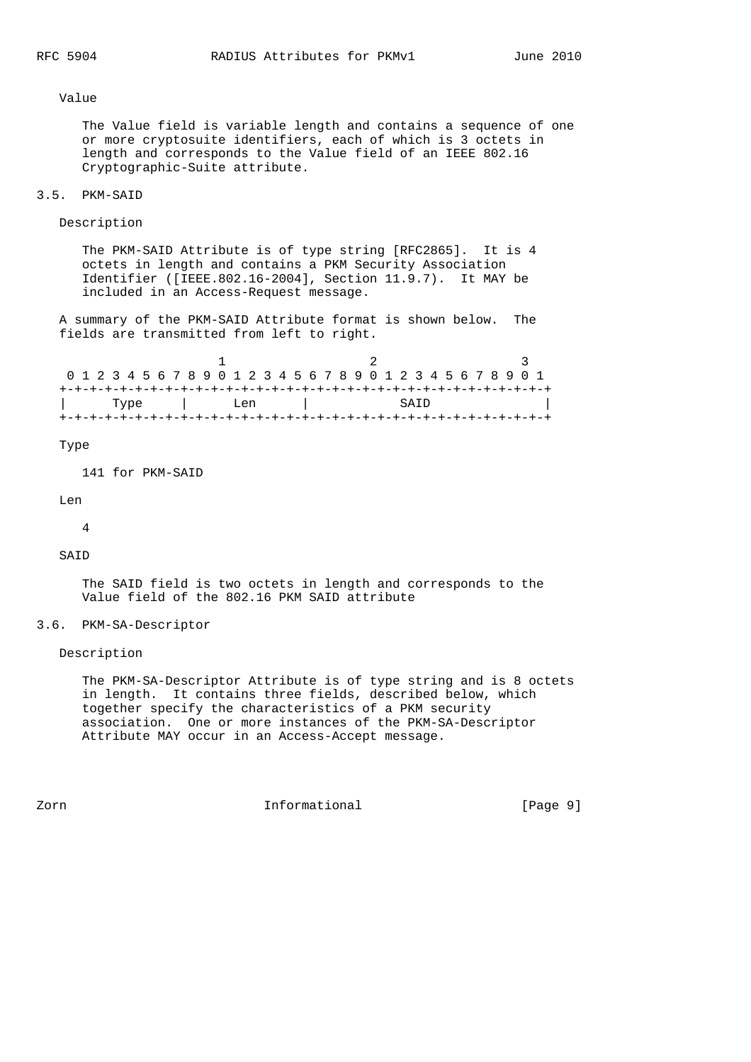Value

 The Value field is variable length and contains a sequence of one or more cryptosuite identifiers, each of which is 3 octets in length and corresponds to the Value field of an IEEE 802.16 Cryptographic-Suite attribute.

#### 3.5. PKM-SAID

Description

 The PKM-SAID Attribute is of type string [RFC2865]. It is 4 octets in length and contains a PKM Security Association Identifier ([IEEE.802.16-2004], Section 11.9.7). It MAY be included in an Access-Request message.

 A summary of the PKM-SAID Attribute format is shown below. The fields are transmitted from left to right.

|  |  |  |  |  | 0 1 2 3 4 5 6 7 8 9 0 1 2 3 4 5 6 7 8 9 0 1 2 3 4 5 6 7 8 9 0 1 |  |  |  |  |  |  |      |  |  |  |  |  |
|--|--|--|--|--|-----------------------------------------------------------------|--|--|--|--|--|--|------|--|--|--|--|--|
|  |  |  |  |  |                                                                 |  |  |  |  |  |  |      |  |  |  |  |  |
|  |  |  |  |  | Type I Len                                                      |  |  |  |  |  |  | SATD |  |  |  |  |  |
|  |  |  |  |  |                                                                 |  |  |  |  |  |  |      |  |  |  |  |  |

### Type

141 for PKM-SAID

```
 Len
```
4

SAID

 The SAID field is two octets in length and corresponds to the Value field of the 802.16 PKM SAID attribute

# 3.6. PKM-SA-Descriptor

Description

 The PKM-SA-Descriptor Attribute is of type string and is 8 octets in length. It contains three fields, described below, which together specify the characteristics of a PKM security association. One or more instances of the PKM-SA-Descriptor Attribute MAY occur in an Access-Accept message.

Zorn **Informational Informational** [Page 9]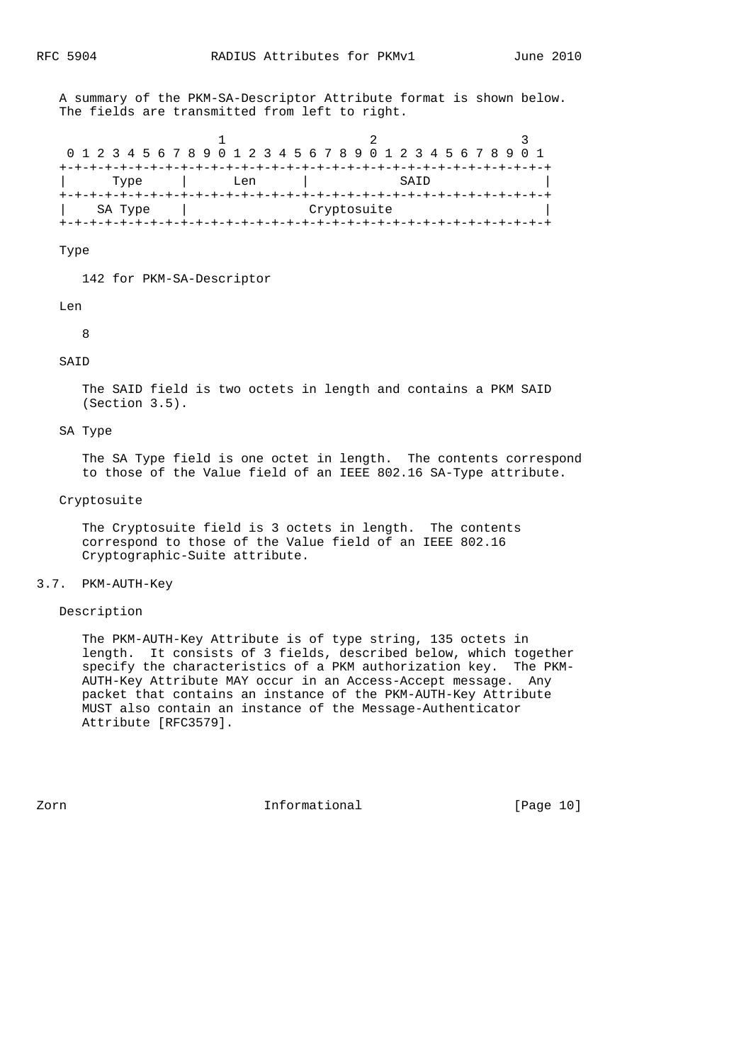A summary of the PKM-SA-Descriptor Attribute format is shown below. The fields are transmitted from left to right.

|  |  | 0 1 2 3 4 5 6 7 8 9 0 1 2 3 4 5 6 7 8 9 0 1 2 3 4 5 6 7 8 9 0 1 |      |  |  |  |       |  |  |             |  |  |                                |  |  |  |  |
|--|--|-----------------------------------------------------------------|------|--|--|--|-------|--|--|-------------|--|--|--------------------------------|--|--|--|--|
|  |  |                                                                 |      |  |  |  |       |  |  |             |  |  | --+-+-+-+-+-+-+-+-+-+-+-+-+-+- |  |  |  |  |
|  |  |                                                                 | Type |  |  |  | T.en. |  |  |             |  |  | SATD                           |  |  |  |  |
|  |  |                                                                 |      |  |  |  |       |  |  |             |  |  |                                |  |  |  |  |
|  |  | SA Type                                                         |      |  |  |  |       |  |  | Cryptosuite |  |  |                                |  |  |  |  |
|  |  |                                                                 |      |  |  |  |       |  |  |             |  |  |                                |  |  |  |  |

Type

142 for PKM-SA-Descriptor

#### Len

8

## SAID

 The SAID field is two octets in length and contains a PKM SAID (Section 3.5).

#### SA Type

 The SA Type field is one octet in length. The contents correspond to those of the Value field of an IEEE 802.16 SA-Type attribute.

## Cryptosuite

 The Cryptosuite field is 3 octets in length. The contents correspond to those of the Value field of an IEEE 802.16 Cryptographic-Suite attribute.

## 3.7. PKM-AUTH-Key

# Description

 The PKM-AUTH-Key Attribute is of type string, 135 octets in length. It consists of 3 fields, described below, which together specify the characteristics of a PKM authorization key. The PKM- AUTH-Key Attribute MAY occur in an Access-Accept message. Any packet that contains an instance of the PKM-AUTH-Key Attribute MUST also contain an instance of the Message-Authenticator Attribute [RFC3579].

zorn 111 - Informational 111 - Informational 120 million (Page 10)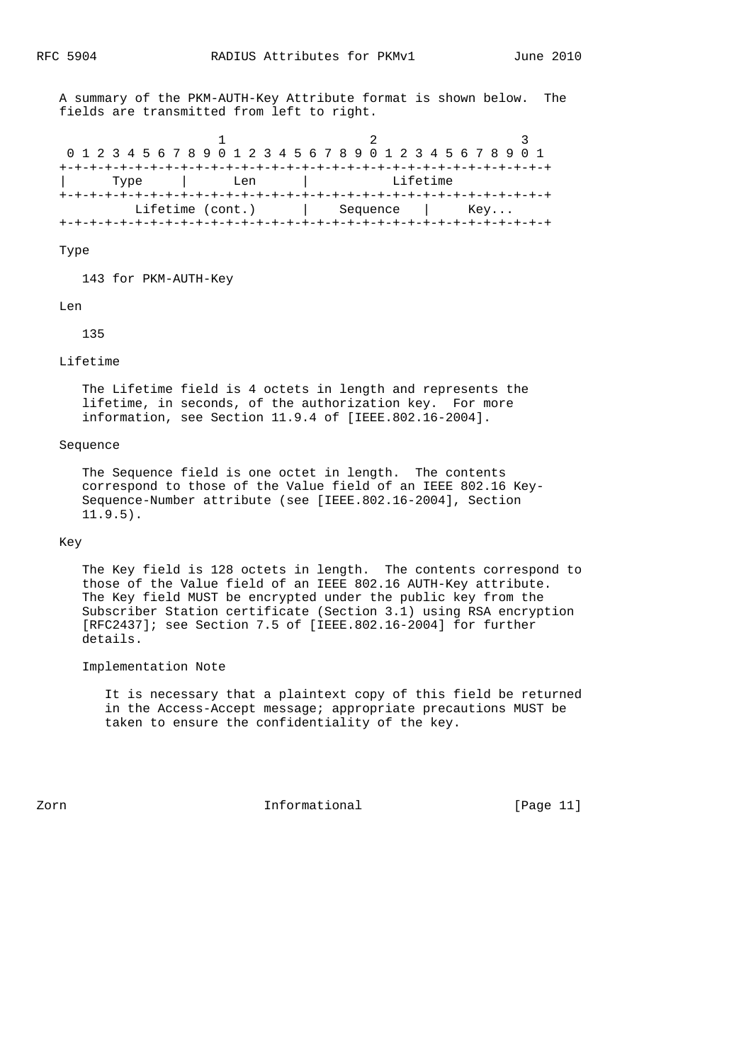A summary of the PKM-AUTH-Key Attribute format is shown below. The fields are transmitted from left to right.

1 2 3 0 1 2 3 4 5 6 7 8 9 0 1 2 3 4 5 6 7 8 9 0 1 2 3 4 5 6 7 8 9 0 1 +-+-+-+-+-+-+-+-+-+-+-+-+-+-+-+-+-+-+-+-+-+-+-+-+-+-+-+-+-+-+-+-+ | Type | Len | +-+-+-+-+-+-+-+-+-+-+-+-+-+-+-+-+-+-+-+-+-+-+-+-+-+-+-+-+-+-+-+-+ Lifetime (cont.) | Sequence | Key... +-+-+-+-+-+-+-+-+-+-+-+-+-+-+-+-+-+-+-+-+-+-+-+-+-+-+-+-+-+-+-+-+

#### Type

143 for PKM-AUTH-Key

#### Len

135

## Lifetime

 The Lifetime field is 4 octets in length and represents the lifetime, in seconds, of the authorization key. For more information, see Section 11.9.4 of [IEEE.802.16-2004].

## Sequence

 The Sequence field is one octet in length. The contents correspond to those of the Value field of an IEEE 802.16 Key- Sequence-Number attribute (see [IEEE.802.16-2004], Section 11.9.5).

# Key

 The Key field is 128 octets in length. The contents correspond to those of the Value field of an IEEE 802.16 AUTH-Key attribute. The Key field MUST be encrypted under the public key from the Subscriber Station certificate (Section 3.1) using RSA encryption [RFC2437]; see Section 7.5 of [IEEE.802.16-2004] for further details.

# Implementation Note

 It is necessary that a plaintext copy of this field be returned in the Access-Accept message; appropriate precautions MUST be taken to ensure the confidentiality of the key.

Zorn **Informational Informational** [Page 11]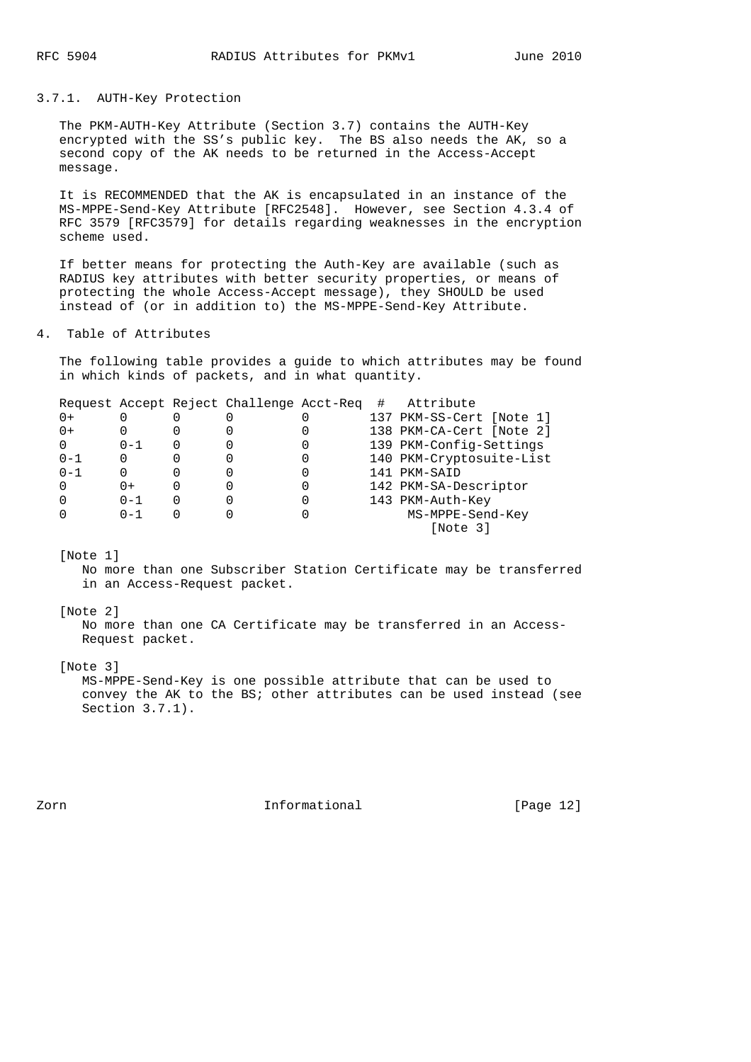### 3.7.1. AUTH-Key Protection

 The PKM-AUTH-Key Attribute (Section 3.7) contains the AUTH-Key encrypted with the SS's public key. The BS also needs the AK, so a second copy of the AK needs to be returned in the Access-Accept message.

 It is RECOMMENDED that the AK is encapsulated in an instance of the MS-MPPE-Send-Key Attribute [RFC2548]. However, see Section 4.3.4 of RFC 3579 [RFC3579] for details regarding weaknesses in the encryption scheme used.

 If better means for protecting the Auth-Key are available (such as RADIUS key attributes with better security properties, or means of protecting the whole Access-Accept message), they SHOULD be used instead of (or in addition to) the MS-MPPE-Send-Key Attribute.

### 4. Table of Attributes

 The following table provides a guide to which attributes may be found in which kinds of packets, and in what quantity.

|         |         | Request Accept Reject Challenge Acct-Req | # | Attribute                |
|---------|---------|------------------------------------------|---|--------------------------|
| $0+$    |         |                                          |   | 137 PKM-SS-Cert [Note 1] |
| $0+$    |         |                                          |   | 138 PKM-CA-Cert [Note 2] |
|         | $0 - 1$ |                                          |   | 139 PKM-Config-Settings  |
| $0 - 1$ |         |                                          |   | 140 PKM-Cryptosuite-List |
| $0 - 1$ | 0       |                                          |   | 141 PKM-SAID             |
|         | $0+$    |                                          |   | 142 PKM-SA-Descriptor    |
|         | $0 - 1$ |                                          |   | 143 PKM-Auth-Key         |
|         | $0 - 1$ |                                          |   | MS-MPPE-Send-Key         |
|         |         |                                          |   | [Note 3]                 |
|         |         |                                          |   |                          |

#### [Note 1]

 No more than one Subscriber Station Certificate may be transferred in an Access-Request packet.

#### [Note 2]

 No more than one CA Certificate may be transferred in an Access- Request packet.

## [Note 3]

 MS-MPPE-Send-Key is one possible attribute that can be used to convey the AK to the BS; other attributes can be used instead (see Section 3.7.1).

zorn **Informational Informational** [Page 12]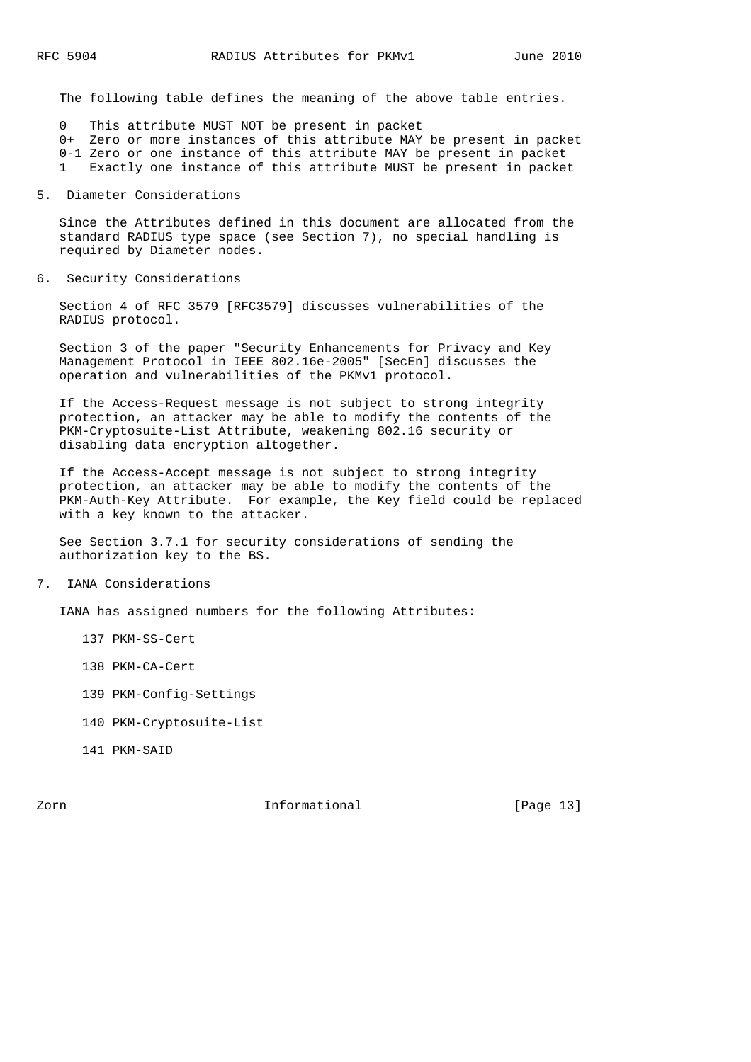The following table defines the meaning of the above table entries.

0 This attribute MUST NOT be present in packet

0+ Zero or more instances of this attribute MAY be present in packet

0-1 Zero or one instance of this attribute MAY be present in packet

1 Exactly one instance of this attribute MUST be present in packet

5. Diameter Considerations

 Since the Attributes defined in this document are allocated from the standard RADIUS type space (see Section 7), no special handling is required by Diameter nodes.

6. Security Considerations

 Section 4 of RFC 3579 [RFC3579] discusses vulnerabilities of the RADIUS protocol.

 Section 3 of the paper "Security Enhancements for Privacy and Key Management Protocol in IEEE 802.16e-2005" [SecEn] discusses the operation and vulnerabilities of the PKMv1 protocol.

 If the Access-Request message is not subject to strong integrity protection, an attacker may be able to modify the contents of the PKM-Cryptosuite-List Attribute, weakening 802.16 security or disabling data encryption altogether.

 If the Access-Accept message is not subject to strong integrity protection, an attacker may be able to modify the contents of the PKM-Auth-Key Attribute. For example, the Key field could be replaced with a key known to the attacker.

 See Section 3.7.1 for security considerations of sending the authorization key to the BS.

7. IANA Considerations

IANA has assigned numbers for the following Attributes:

- 137 PKM-SS-Cert
- 138 PKM-CA-Cert
- 139 PKM-Config-Settings
- 140 PKM-Cryptosuite-List
- 141 PKM-SAID

Zorn **Informational Informational** [Page 13]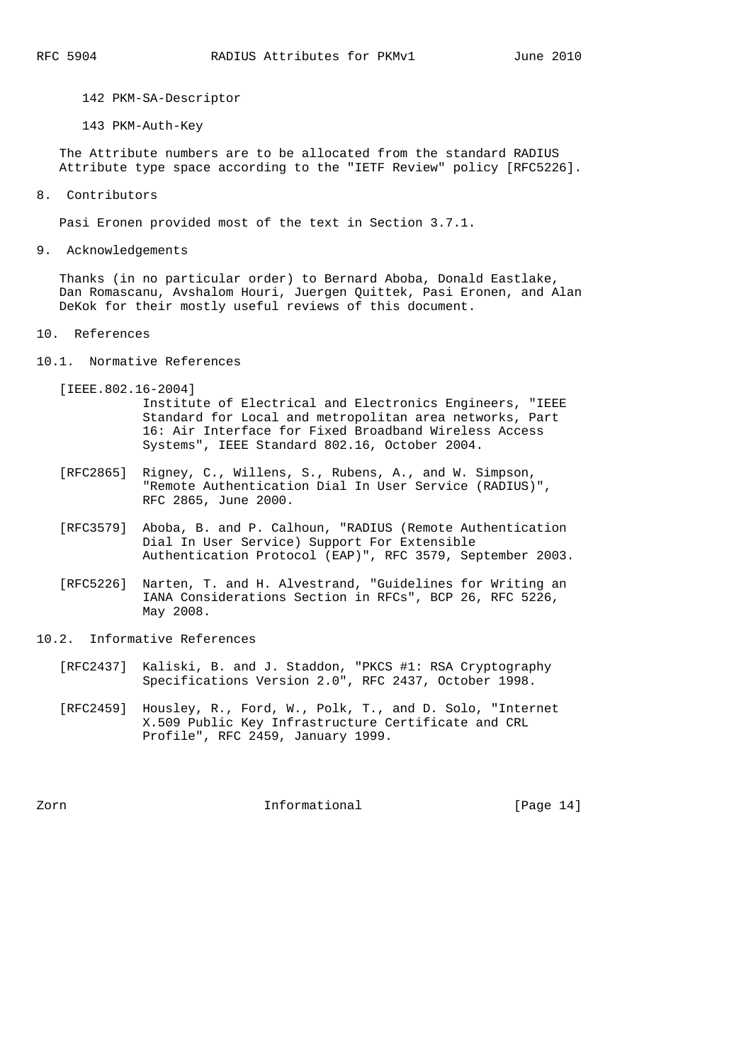142 PKM-SA-Descriptor

143 PKM-Auth-Key

 The Attribute numbers are to be allocated from the standard RADIUS Attribute type space according to the "IETF Review" policy [RFC5226].

8. Contributors

Pasi Eronen provided most of the text in Section 3.7.1.

9. Acknowledgements

 Thanks (in no particular order) to Bernard Aboba, Donald Eastlake, Dan Romascanu, Avshalom Houri, Juergen Quittek, Pasi Eronen, and Alan DeKok for their mostly useful reviews of this document.

- 10. References
- 10.1. Normative References

[IEEE.802.16-2004]

 Institute of Electrical and Electronics Engineers, "IEEE Standard for Local and metropolitan area networks, Part 16: Air Interface for Fixed Broadband Wireless Access Systems", IEEE Standard 802.16, October 2004.

- [RFC2865] Rigney, C., Willens, S., Rubens, A., and W. Simpson, "Remote Authentication Dial In User Service (RADIUS)", RFC 2865, June 2000.
- [RFC3579] Aboba, B. and P. Calhoun, "RADIUS (Remote Authentication Dial In User Service) Support For Extensible Authentication Protocol (EAP)", RFC 3579, September 2003.
- [RFC5226] Narten, T. and H. Alvestrand, "Guidelines for Writing an IANA Considerations Section in RFCs", BCP 26, RFC 5226, May 2008.
- 10.2. Informative References
	- [RFC2437] Kaliski, B. and J. Staddon, "PKCS #1: RSA Cryptography Specifications Version 2.0", RFC 2437, October 1998.
	- [RFC2459] Housley, R., Ford, W., Polk, T., and D. Solo, "Internet X.509 Public Key Infrastructure Certificate and CRL Profile", RFC 2459, January 1999.

Zorn **Informational Informational** [Page 14]